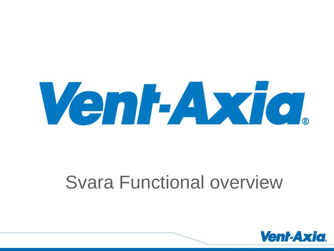

## Svara Functional overview

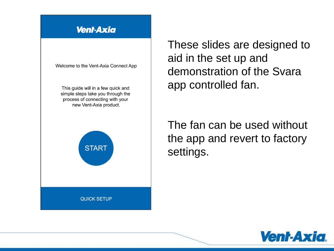## **Vent-Axia**

Welcome to the Vent-Axia Connect App

This guide will in a few quick and simple steps take you through the process of connecting with your new Vent-Axia product.



These slides are designed to aid in the set up and demonstration of the Svara app controlled fan.

The fan can be used without the app and revert to factory settings.

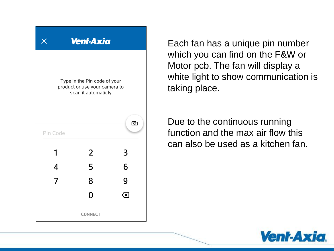

Each fan has a unique pin number which you can find on the F&W or Motor pcb. The fan will display a white light to show communication is taking place.

Due to the continuous running function and the max air flow this can also be used as a kitchen fan.

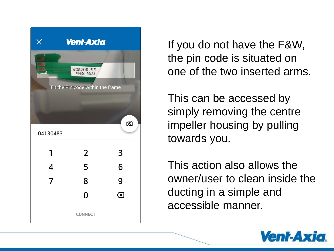

If you do not have the F&W, the pin code is situated on one of the two inserted arms.

This can be accessed by simply removing the centre impeller housing by pulling towards you.

This action also allows the owner/user to clean inside the ducting in a simple and accessible manner.

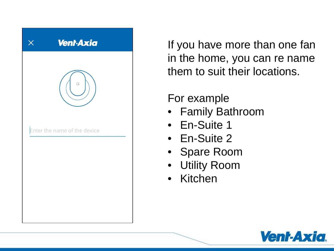

If you have more than one fan in the home, you can re name them to suit their locations.

## For example

- Family Bathroom
- En-Suite 1
- En-Suite 2
- Spare Room
- Utility Room
- Kitchen

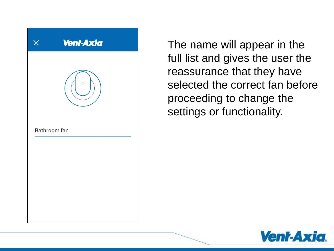

The name will appear in the full list and gives the user the reassurance that they have selected the correct fan before proceeding to change the settings or functionality.

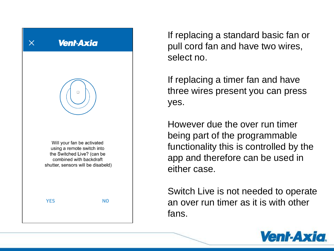

If replacing a standard basic fan or pull cord fan and have two wires, select no.

If replacing a timer fan and have three wires present you can press yes.

However due the over run timer being part of the programmable functionality this is controlled by the app and therefore can be used in either case.

Switch Live is not needed to operate an over run timer as it is with other fans.

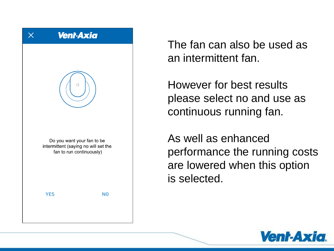

The fan can also be used as an intermittent fan.

However for best results please select no and use as continuous running fan.

As well as enhanced performance the running costs are lowered when this option is selected.

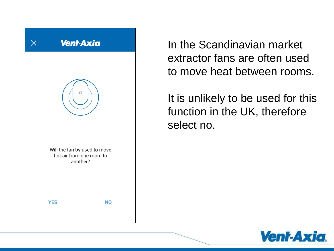

In the Scandinavian market extractor fans are often used to move heat between rooms.

It is unlikely to be used for this function in the UK, therefore select no.

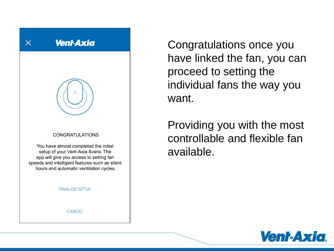

Congratulations once you have linked the fan, you can proceed to setting the individual fans the way you want.

Providing you with the most controllable and flexible fan available.

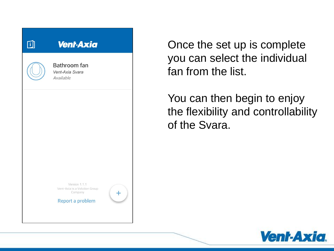

Once the set up is complete you can select the individual fan from the list.

You can then begin to enjoy the flexibility and controllability of the Svara.

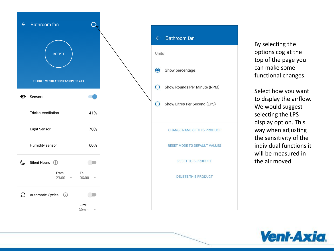



By selecting the options cog at the top of the page you can make some functional changes.

Select how you want to display the airflow. We would suggest selecting the LPS display option. This way when adjusting the sensitivity of the individual functions it will be measured in the air moved.

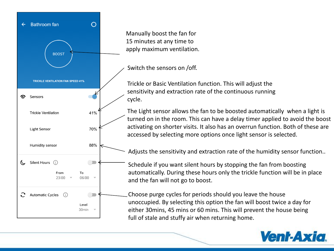

Manually boost the fan for 15 minutes at any time to apply maximum ventilation.

Switch the sensors on /off.

Trickle or Basic Ventilation function. This will adjust the sensitivity and extraction rate of the continuous running cycle.

The Light sensor allows the fan to be boosted automatically when a light is turned on in the room. This can have a delay timer applied to avoid the boost activating on shorter visits. It also has an overrun function. Both of these are accessed by selecting more options once light sensor is selected.

Adjusts the sensitivity and extraction rate of the humidity sensor function..

Schedule if you want silent hours by stopping the fan from boosting automatically. During these hours only the trickle function will be in place and the fan will not go to boost.

Choose purge cycles for periods should you leave the house unoccupied. By selecting this option the fan will boost twice a day for either 30mins, 45 mins or 60 mins. This will prevent the house being full of stale and stuffy air when returning home.

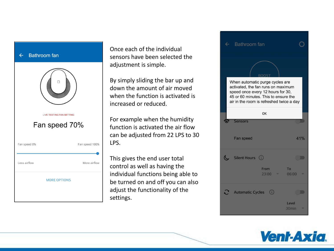## Bathroom fan  $\leftarrow$



Once each of the individual sensors have been selected the adjustment is simple.

By simply sliding the bar up and down the amount of air moved when the function is activated is increased or reduced.

For example when the humidity function is activated the air flow can be adjusted from 22 LPS to 30 LPS.

This gives the end user total control as well as having the individual functions being able to be turned on and off you can also adjust the functionality of the settings.



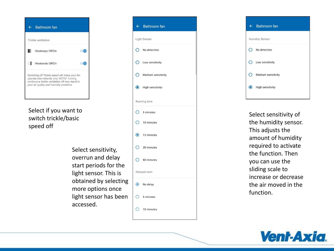| <b>Bathroom</b> fan                                                                                                                                                                        |
|--------------------------------------------------------------------------------------------------------------------------------------------------------------------------------------------|
| Trickle ventilation                                                                                                                                                                        |
| Weekdays Off/On                                                                                                                                                                            |
| Weekends Off/On                                                                                                                                                                            |
| Switching off Trickle speed will make your fan<br>operate intermittently only. NOTE! Turning<br>continuous trickle ventilation off may result in<br>poor air quality and humidity problems |

Select if you want to switch trickle/basic speed off

> Select sensitivity, overrun and delay start periods for the light sensor. This is obtained by selecting more options once light sensor has been accessed.

|               | $\leftarrow$ Bathroom fan     |  |  |
|---------------|-------------------------------|--|--|
| Light Sensor  |                               |  |  |
|               | $\bigcap$ No detection        |  |  |
|               | $\bigcirc$ Low sensitivity    |  |  |
|               | $\bigcirc$ Medium sensitivity |  |  |
|               | High sensitivity              |  |  |
| Running time  |                               |  |  |
|               | $O$ 5 minutes                 |  |  |
|               | $\bigcirc$ 10 minutes         |  |  |
|               | $\odot$ 15 minutes            |  |  |
|               | $\bigcap$ 30 minutes          |  |  |
|               | $\bigcirc$ 60 minutes         |  |  |
| Delayed start |                               |  |  |
|               | so No delay                   |  |  |
|               | $\bigcirc$ 5 minutes          |  |  |
|               | 10 minutes                    |  |  |



Select sensitivity of the humidity sensor. This adjusts the amount of humidity required to activate the function. Then you can use the sliding scale to increase or decrease the air moved in the function.